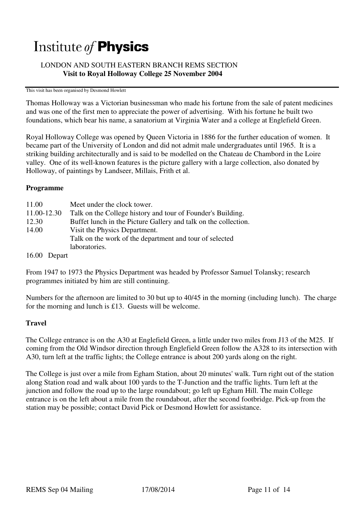# Institute of **Physics**

# LONDON AND SOUTH EASTERN BRANCH REMS SECTION  **Visit to Royal Holloway College 25 November 2004**

#### This visit has been organised by Desmond Howlett

Thomas Holloway was a Victorian businessman who made his fortune from the sale of patent medicines and was one of the first men to appreciate the power of advertising. With his fortune he built two foundations, which bear his name, a sanatorium at Virginia Water and a college at Englefield Green.

Royal Holloway College was opened by Queen Victoria in 1886 for the further education of women. It became part of the University of London and did not admit male undergraduates until 1965. It is a striking building architecturally and is said to be modelled on the Chateau de Chambord in the Loire valley. One of its well-known features is the picture gallery with a large collection, also donated by Holloway, of paintings by Landseer, Millais, Frith et al.

### **Programme**

| 11.00       | Meet under the clock tower.                                     |
|-------------|-----------------------------------------------------------------|
| 11.00-12.30 | Talk on the College history and tour of Founder's Building.     |
| 12.30       | Buffet lunch in the Picture Gallery and talk on the collection. |
| 14.00       | Visit the Physics Department.                                   |
|             | Talk on the work of the department and tour of selected         |
|             | laboratories.                                                   |
| 16.00       | Depart                                                          |

From 1947 to 1973 the Physics Department was headed by Professor Samuel Tolansky; research programmes initiated by him are still continuing.

Numbers for the afternoon are limited to 30 but up to 40/45 in the morning (including lunch). The charge for the morning and lunch is £13. Guests will be welcome.

## **Travel**

The College entrance is on the A30 at Englefield Green, a little under two miles from J13 of the M25. If coming from the Old Windsor direction through Englefield Green follow the A328 to its intersection with A30, turn left at the traffic lights; the College entrance is about 200 yards along on the right.

The College is just over a mile from Egham Station, about 20 minutes' walk. Turn right out of the station along Station road and walk about 100 yards to the T-Junction and the traffic lights. Turn left at the junction and follow the road up to the large roundabout; go left up Egham Hill. The main College entrance is on the left about a mile from the roundabout, after the second footbridge. Pick-up from the station may be possible; contact David Pick or Desmond Howlett for assistance.